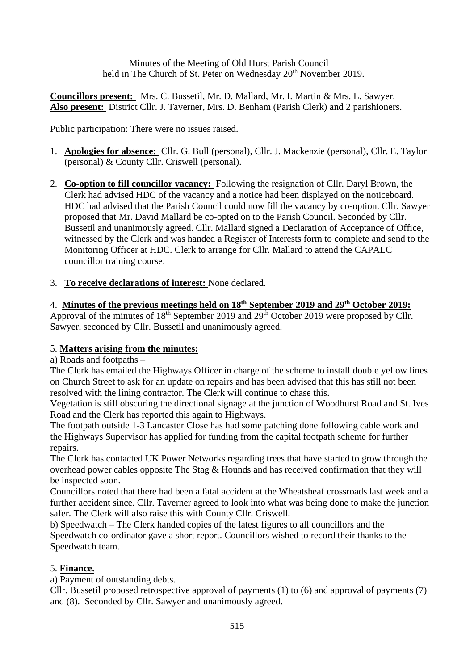Minutes of the Meeting of Old Hurst Parish Council held in The Church of St. Peter on Wednesday 20<sup>th</sup> November 2019.

**Councillors present:** Mrs. C. Bussetil, Mr. D. Mallard, Mr. I. Martin & Mrs. L. Sawyer. **Also present:** District Cllr. J. Taverner, Mrs. D. Benham (Parish Clerk) and 2 parishioners.

Public participation: There were no issues raised.

- 1. **Apologies for absence:** Cllr. G. Bull (personal), Cllr. J. Mackenzie (personal), Cllr. E. Taylor (personal) & County Cllr. Criswell (personal).
- 2. **Co-option to fill councillor vacancy:** Following the resignation of Cllr. Daryl Brown, the Clerk had advised HDC of the vacancy and a notice had been displayed on the noticeboard. HDC had advised that the Parish Council could now fill the vacancy by co-option. Cllr. Sawyer proposed that Mr. David Mallard be co-opted on to the Parish Council. Seconded by Cllr. Bussetil and unanimously agreed. Cllr. Mallard signed a Declaration of Acceptance of Office, witnessed by the Clerk and was handed a Register of Interests form to complete and send to the Monitoring Officer at HDC. Clerk to arrange for Cllr. Mallard to attend the CAPALC councillor training course.
- 3. **To receive declarations of interest:** None declared.

# 4. **Minutes of the previous meetings held on 18th September 2019 and 29th October 2019:**

Approval of the minutes of 18<sup>th</sup> September 2019 and 29<sup>th</sup> October 2019 were proposed by Cllr. Sawyer, seconded by Cllr. Bussetil and unanimously agreed.

## 5. **Matters arising from the minutes:**

a) Roads and footpaths –

The Clerk has emailed the Highways Officer in charge of the scheme to install double yellow lines on Church Street to ask for an update on repairs and has been advised that this has still not been resolved with the lining contractor. The Clerk will continue to chase this.

Vegetation is still obscuring the directional signage at the junction of Woodhurst Road and St. Ives Road and the Clerk has reported this again to Highways.

The footpath outside 1-3 Lancaster Close has had some patching done following cable work and the Highways Supervisor has applied for funding from the capital footpath scheme for further repairs.

The Clerk has contacted UK Power Networks regarding trees that have started to grow through the overhead power cables opposite The Stag & Hounds and has received confirmation that they will be inspected soon.

Councillors noted that there had been a fatal accident at the Wheatsheaf crossroads last week and a further accident since. Cllr. Taverner agreed to look into what was being done to make the junction safer. The Clerk will also raise this with County Cllr. Criswell.

b) Speedwatch – The Clerk handed copies of the latest figures to all councillors and the Speedwatch co-ordinator gave a short report. Councillors wished to record their thanks to the Speedwatch team.

## 5. **Finance.**

a) Payment of outstanding debts.

Cllr. Bussetil proposed retrospective approval of payments (1) to (6) and approval of payments (7) and (8). Seconded by Cllr. Sawyer and unanimously agreed.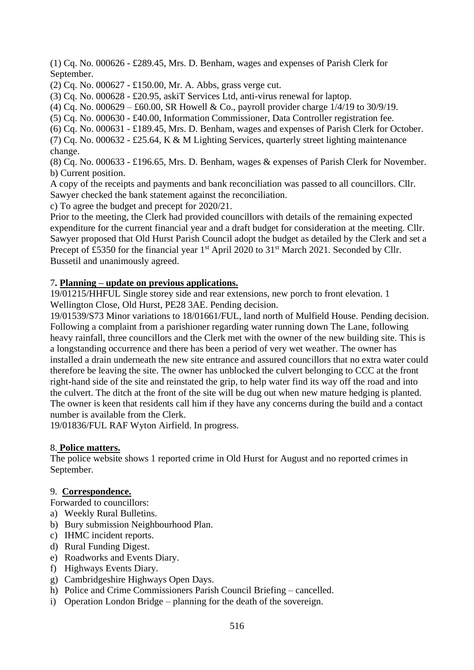(1) Cq. No. 000626 - £289.45, Mrs. D. Benham, wages and expenses of Parish Clerk for September.

(2) Cq. No. 000627 - £150.00, Mr. A. Abbs, grass verge cut.

(3) Cq. No. 000628 - £20.95, askiT Services Ltd, anti-virus renewal for laptop.

(4) Cq. No. 000629 – £60.00, SR Howell & Co., payroll provider charge  $1/4/19$  to 30/9/19.

(5) Cq. No. 000630 - £40.00, Information Commissioner, Data Controller registration fee.

(6) Cq. No. 000631 - £189.45, Mrs. D. Benham, wages and expenses of Parish Clerk for October.

(7) Cq. No. 000632 - £25.64, K & M Lighting Services, quarterly street lighting maintenance change.

(8) Cq. No. 000633 - £196.65, Mrs. D. Benham, wages & expenses of Parish Clerk for November. b) Current position.

A copy of the receipts and payments and bank reconciliation was passed to all councillors. Cllr. Sawyer checked the bank statement against the reconciliation.

c) To agree the budget and precept for 2020/21.

Prior to the meeting, the Clerk had provided councillors with details of the remaining expected expenditure for the current financial year and a draft budget for consideration at the meeting. Cllr. Sawyer proposed that Old Hurst Parish Council adopt the budget as detailed by the Clerk and set a Precept of £5350 for the financial year 1<sup>st</sup> April 2020 to 31<sup>st</sup> March 2021. Seconded by Cllr. Bussetil and unanimously agreed.

## 7**. Planning – update on previous applications.**

19/01215/HHFUL Single storey side and rear extensions, new porch to front elevation. 1 Wellington Close, Old Hurst, PE28 3AE. Pending decision.

19/01539/S73 Minor variations to 18/01661/FUL, land north of Mulfield House. Pending decision. Following a complaint from a parishioner regarding water running down The Lane, following heavy rainfall, three councillors and the Clerk met with the owner of the new building site. This is a longstanding occurrence and there has been a period of very wet weather. The owner has installed a drain underneath the new site entrance and assured councillors that no extra water could therefore be leaving the site. The owner has unblocked the culvert belonging to CCC at the front right-hand side of the site and reinstated the grip, to help water find its way off the road and into the culvert. The ditch at the front of the site will be dug out when new mature hedging is planted. The owner is keen that residents call him if they have any concerns during the build and a contact number is available from the Clerk.

19/01836/FUL RAF Wyton Airfield. In progress.

## 8. **Police matters.**

The police website shows 1 reported crime in Old Hurst for August and no reported crimes in September.

## 9. **Correspondence.**

Forwarded to councillors:

- a) Weekly Rural Bulletins.
- b) Bury submission Neighbourhood Plan.
- c) IHMC incident reports.
- d) Rural Funding Digest.
- e) Roadworks and Events Diary.
- f) Highways Events Diary.
- g) Cambridgeshire Highways Open Days.
- h) Police and Crime Commissioners Parish Council Briefing cancelled.
- i) Operation London Bridge planning for the death of the sovereign.